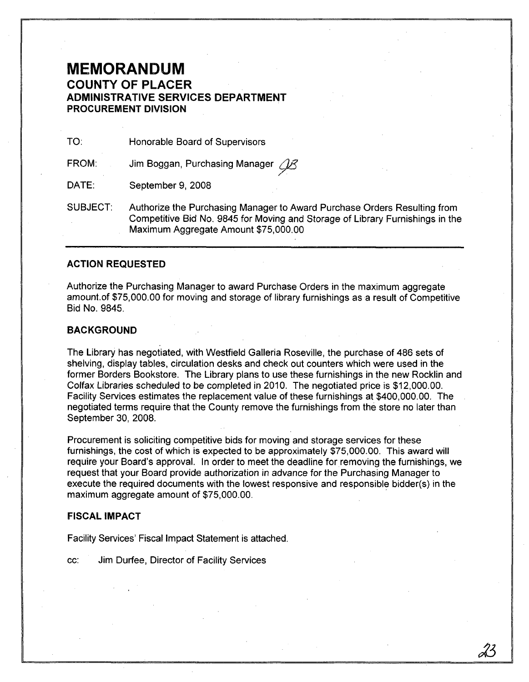## **MEMORANDUM COUNTY OF PLACER ADMINISTRATIVE SERVICES DEPARTMENT PROCUREMENT DIVISION**

TO: Honorable Board of Supervisors

Jim Boggan, Purchasing Manager 28 FROM:

DATE: September 9, 2008

SUBJECT: Authorize the Purchasing Manager to Award Purchase Orders Resulting from Competitive Bid No. 9845 for Moving and Storage of Library Furnishings in the Maximum Aggregate Amount \$75,000.00

### **ACTION REQUESTED**

Authorize the Purchasing Manager to award Purchase Orders in the maximum aggregate amount.of \$75,000.00 for moving and storage of library furnishings as a result of Competitive Bid No. 9845.

#### **BACKGROUND**

The Library has negotiated, with Westfield Galleria Roseville, the purchase of 486 sets of shelving, display tables, circulation desks and check out counters which were used in the former Borders Bookstore. The Library plans to use these furnishings in the new Rocklin and Colfax Libraries scheduled to be completed in 2010. The negotiated price is \$12,000.00. Facility Services estimates the replacement value of these furnishings at \$400,000.00. The negotiated terms require that the County remove the furnishings from the store no later than September 30, 2008.

Procurement is soliciting competitive bids for moving and storage services for these furnishings, the cost of which is expected to be approximately \$75,000.00. This award will require your Board's approval. In order to meet the deadline forremoving the furnishings, we request that your Board provide authorization in advance for the Purchasing Manager to execute the required documents with the lowest responsive and responsible bidder(s) in the maximum aggregate amount of \$75,000.00.

#### FISCAL IMPACT

Facility Services' Fiscal Impact Statement is attached.

cc: Jim Durfee, Director of Facility Services